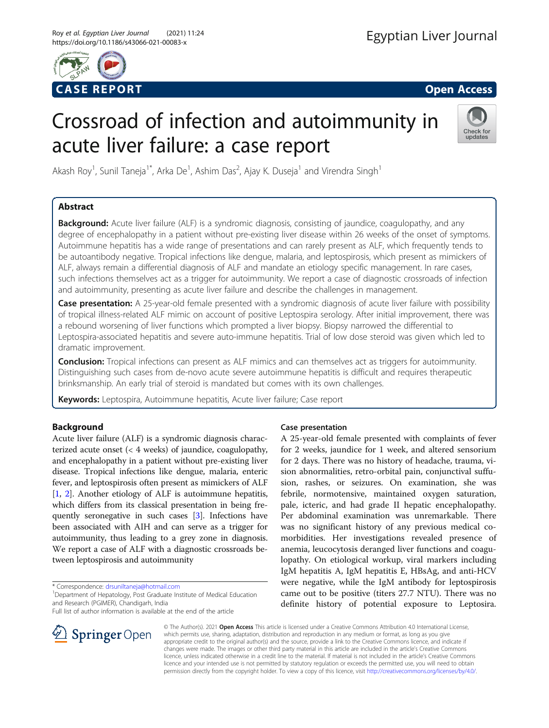

# Crossroad of infection and autoimmunity in acute liver failure: a case report



Akash Roy<sup>1</sup>, Sunil Taneja<sup>1\*</sup>, Arka De<sup>1</sup>, Ashim Das<sup>2</sup>, Ajay K. Duseja<sup>1</sup> and Virendra Singh<sup>1</sup>

# Abstract

**Background:** Acute liver failure (ALF) is a syndromic diagnosis, consisting of jaundice, coagulopathy, and any degree of encephalopathy in a patient without pre-existing liver disease within 26 weeks of the onset of symptoms. Autoimmune hepatitis has a wide range of presentations and can rarely present as ALF, which frequently tends to be autoantibody negative. Tropical infections like dengue, malaria, and leptospirosis, which present as mimickers of ALF, always remain a differential diagnosis of ALF and mandate an etiology specific management. In rare cases, such infections themselves act as a trigger for autoimmunity. We report a case of diagnostic crossroads of infection and autoimmunity, presenting as acute liver failure and describe the challenges in management.

Case presentation: A 25-year-old female presented with a syndromic diagnosis of acute liver failure with possibility of tropical illness-related ALF mimic on account of positive Leptospira serology. After initial improvement, there was a rebound worsening of liver functions which prompted a liver biopsy. Biopsy narrowed the differential to Leptospira-associated hepatitis and severe auto-immune hepatitis. Trial of low dose steroid was given which led to dramatic improvement.

Conclusion: Tropical infections can present as ALF mimics and can themselves act as triggers for autoimmunity. Distinguishing such cases from de-novo acute severe autoimmune hepatitis is difficult and requires therapeutic brinksmanship. An early trial of steroid is mandated but comes with its own challenges.

Keywords: Leptospira, Autoimmune hepatitis, Acute liver failure; Case report

# Background

Acute liver failure (ALF) is a syndromic diagnosis characterized acute onset (< 4 weeks) of jaundice, coagulopathy, and encephalopathy in a patient without pre-existing liver disease. Tropical infections like dengue, malaria, enteric fever, and leptospirosis often present as mimickers of ALF [[1,](#page-3-0) [2](#page-3-0)]. Another etiology of ALF is autoimmune hepatitis, which differs from its classical presentation in being frequently seronegative in such cases [\[3\]](#page-3-0). Infections have been associated with AIH and can serve as a trigger for autoimmunity, thus leading to a grey zone in diagnosis. We report a case of ALF with a diagnostic crossroads between leptospirosis and autoimmunity

\* Correspondence: [drsuniltaneja@hotmail.com](mailto:drsuniltaneja@hotmail.com) <sup>1</sup>

<sup>1</sup> Department of Hepatology, Post Graduate Institute of Medical Education and Research (PGIMER), Chandigarh, India

Full list of author information is available at the end of the article

# Case presentation

A 25-year-old female presented with complaints of fever for 2 weeks, jaundice for 1 week, and altered sensorium for 2 days. There was no history of headache, trauma, vision abnormalities, retro-orbital pain, conjunctival suffusion, rashes, or seizures. On examination, she was febrile, normotensive, maintained oxygen saturation, pale, icteric, and had grade II hepatic encephalopathy. Per abdominal examination was unremarkable. There was no significant history of any previous medical comorbidities. Her investigations revealed presence of anemia, leucocytosis deranged liver functions and coagulopathy. On etiological workup, viral markers including IgM hepatitis A, IgM hepatitis E, HBsAg, and anti-HCV were negative, while the IgM antibody for leptospirosis came out to be positive (titers 27.7 NTU). There was no definite history of potential exposure to Leptosira.



© The Author(s). 2021 Open Access This article is licensed under a Creative Commons Attribution 4.0 International License, which permits use, sharing, adaptation, distribution and reproduction in any medium or format, as long as you give appropriate credit to the original author(s) and the source, provide a link to the Creative Commons licence, and indicate if changes were made. The images or other third party material in this article are included in the article's Creative Commons licence, unless indicated otherwise in a credit line to the material. If material is not included in the article's Creative Commons licence and your intended use is not permitted by statutory regulation or exceeds the permitted use, you will need to obtain permission directly from the copyright holder. To view a copy of this licence, visit <http://creativecommons.org/licenses/by/4.0/>.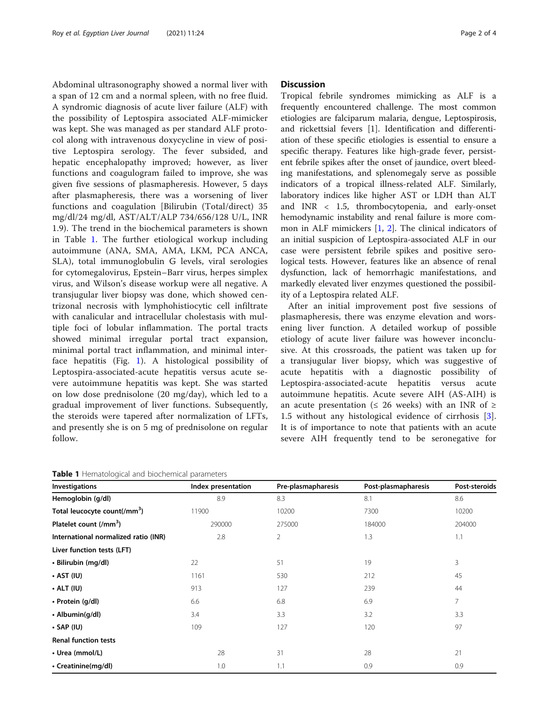Abdominal ultrasonography showed a normal liver with a span of 12 cm and a normal spleen, with no free fluid. A syndromic diagnosis of acute liver failure (ALF) with the possibility of Leptospira associated ALF-mimicker was kept. She was managed as per standard ALF protocol along with intravenous doxycycline in view of positive Leptospira serology. The fever subsided, and hepatic encephalopathy improved; however, as liver functions and coagulogram failed to improve, she was given five sessions of plasmapheresis. However, 5 days after plasmapheresis, there was a worsening of liver functions and coagulation [Bilirubin (Total/direct) 35 mg/dl/24 mg/dl, AST/ALT/ALP 734/656/128 U/L, INR 1.9). The trend in the biochemical parameters is shown in Table 1. The further etiological workup including autoimmune (ANA, SMA, AMA, LKM, PCA ANCA, SLA), total immunoglobulin G levels, viral serologies for cytomegalovirus, Epstein–Barr virus, herpes simplex virus, and Wilson's disease workup were all negative. A transjugular liver biopsy was done, which showed centrizonal necrosis with lymphohistiocytic cell infiltrate with canalicular and intracellular cholestasis with multiple foci of lobular inflammation. The portal tracts showed minimal irregular portal tract expansion, minimal portal tract inflammation, and minimal interface hepatitis (Fig. [1\)](#page-2-0). A histological possibility of Leptospira-associated-acute hepatitis versus acute severe autoimmune hepatitis was kept. She was started on low dose prednisolone (20 mg/day), which led to a gradual improvement of liver functions. Subsequently, the steroids were tapered after normalization of LFTs, and presently she is on 5 mg of prednisolone on regular follow.

Table 1 Hematological and biochemical parameters

## **Discussion**

Tropical febrile syndromes mimicking as ALF is a frequently encountered challenge. The most common etiologies are falciparum malaria, dengue, Leptospirosis, and rickettsial fevers [1]. Identification and differentiation of these specific etiologies is essential to ensure a specific therapy. Features like high-grade fever, persistent febrile spikes after the onset of jaundice, overt bleeding manifestations, and splenomegaly serve as possible indicators of a tropical illness-related ALF. Similarly, laboratory indices like higher AST or LDH than ALT and INR < 1.5, thrombocytopenia, and early-onset hemodynamic instability and renal failure is more common in ALF mimickers  $[1, 2]$  $[1, 2]$  $[1, 2]$  $[1, 2]$  $[1, 2]$ . The clinical indicators of an initial suspicion of Leptospira-associated ALF in our case were persistent febrile spikes and positive serological tests. However, features like an absence of renal dysfunction, lack of hemorrhagic manifestations, and markedly elevated liver enzymes questioned the possibility of a Leptospira related ALF.

After an initial improvement post five sessions of plasmapheresis, there was enzyme elevation and worsening liver function. A detailed workup of possible etiology of acute liver failure was however inconclusive. At this crossroads, the patient was taken up for a transjugular liver biopsy, which was suggestive of acute hepatitis with a diagnostic possibility of Leptospira-associated-acute hepatitis versus acute autoimmune hepatitis. Acute severe AIH (AS-AIH) is an acute presentation ( $\leq$  26 weeks) with an INR of  $\geq$ 1.5 without any histological evidence of cirrhosis [\[3](#page-3-0)]. It is of importance to note that patients with an acute severe AIH frequently tend to be seronegative for

| <b>Investigations</b>                    | Index presentation | Pre-plasmapharesis | Post-plasmapharesis | Post-steroids |
|------------------------------------------|--------------------|--------------------|---------------------|---------------|
| Hemoglobin (g/dl)                        | 8.9                | 8.3                | 8.1                 | 8.6           |
| Total leucocyte count(/mm <sup>3</sup> ) | 11900              | 10200              | 7300                | 10200         |
| Platelet count (/mm <sup>3</sup> )       | 290000             | 275000             | 184000              | 204000        |
| International normalized ratio (INR)     | 2.8                | $\overline{2}$     | 1.3                 | 1.1           |
| Liver function tests (LFT)               |                    |                    |                     |               |
| • Bilirubin (mg/dl)                      | 22                 | 51                 | 19                  | 3             |
| $\cdot$ AST (IU)                         | 1161               | 530                | 212                 | 45            |
| $\cdot$ ALT (IU)                         | 913                | 127                | 239                 | 44            |
| • Protein (g/dl)                         | 6.6                | 6.8                | 6.9                 | 7             |
| • Albumin(g/dl)                          | 3.4                | 3.3                | 3.2                 | 3.3           |
| $\cdot$ SAP (IU)                         | 109                | 127                | 120                 | 97            |
| <b>Renal function tests</b>              |                    |                    |                     |               |
| • Urea (mmol/L)                          | 28                 | 31                 | 28                  | 21            |
| • Creatinine(mg/dl)                      | 1.0                | 1.1                | 0.9                 | 0.9           |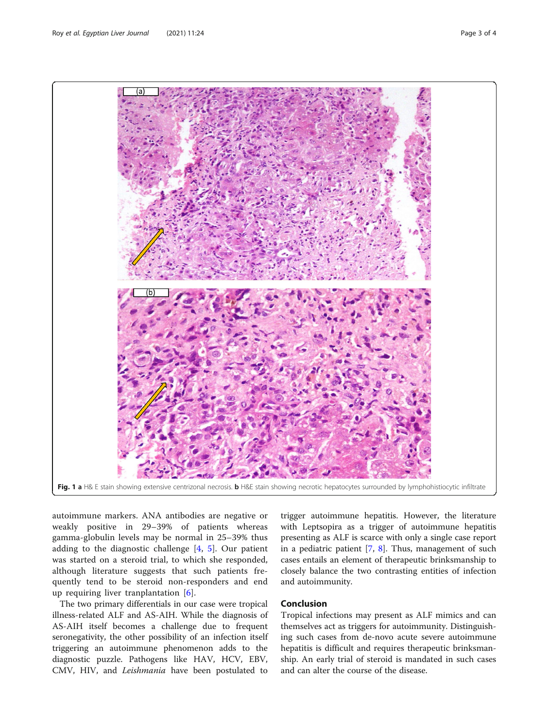<span id="page-2-0"></span>

autoimmune markers. ANA antibodies are negative or weakly positive in 29–39% of patients whereas gamma-globulin levels may be normal in 25–39% thus adding to the diagnostic challenge [\[4](#page-3-0), [5](#page-3-0)]. Our patient was started on a steroid trial, to which she responded, although literature suggests that such patients frequently tend to be steroid non-responders and end up requiring liver tranplantation [\[6](#page-3-0)].

The two primary differentials in our case were tropical illness-related ALF and AS-AIH. While the diagnosis of AS-AIH itself becomes a challenge due to frequent seronegativity, the other possibility of an infection itself triggering an autoimmune phenomenon adds to the diagnostic puzzle. Pathogens like HAV, HCV, EBV, CMV, HIV, and Leishmania have been postulated to

trigger autoimmune hepatitis. However, the literature with Leptsopira as a trigger of autoimmune hepatitis presenting as ALF is scarce with only a single case report in a pediatric patient [[7](#page-3-0), [8](#page-3-0)]. Thus, management of such cases entails an element of therapeutic brinksmanship to closely balance the two contrasting entities of infection and autoimmunity.

# Conclusion

Tropical infections may present as ALF mimics and can themselves act as triggers for autoimmunity. Distinguishing such cases from de-novo acute severe autoimmune hepatitis is difficult and requires therapeutic brinksmanship. An early trial of steroid is mandated in such cases and can alter the course of the disease.